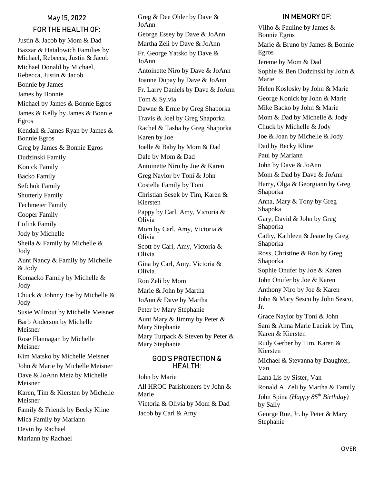# May 15, 2022 FOR THE HEALTH OF:

Justin & Jacob by Mom & Dad Bazzar & Hatalowich Families by Michael, Rebecca, Justin & Jacob Michael Donald by Michael, Rebecca, Justin & Jacob Bonnie by James James by Bonnie Michael by James & Bonnie Egros James & Kelly by James & Bonnie Egros Kendall & James Ryan by James & Bonnie Egros Greg by James & Bonnie Egros Dudzinski Family Konick Family Backo Family Sefchok Family Shutterly Family Techmeier Family Cooper Family Lofink Family Jody by Michelle Sheila & Family by Michelle & Jody Aunt Nancy & Family by Michelle & Jody Komacko Family by Michelle & Jody Chuck & Johnny Joe by Michelle & Jody Susie Wiltrout by Michelle Meisner Barb Anderson by Michelle Meisner Rose Flannagan by Michelle Meisner Kim Matsko by Michelle Meisner John & Marie by Michelle Meisner Dave & JoAnn Metz by Michelle Meisner Karen, Tim & Kiersten by Michelle Meisner Family & Friends by Becky Kline Mica Family by Mariann Devin by Rachael Mariann by Rachael

Greg & Dee Ohler by Dave & JoAnn George Essey by Dave & JoAnn Martha Zeli by Dave & JoAnn Fr. George Yatsko by Dave & JoAnn Antoinette Niro by Dave & JoAnn Joanne Dupay by Dave & JoAnn Fr. Larry Daniels by Dave & JoAnn Tom & Sylvia Dawne & Ernie by Greg Shaporka Travis & Joel by Greg Shaporka Rachel & Tasha by Greg Shaporka Karen by Joe Joelle & Baby by Mom & Dad Dale by Mom & Dad Antoinette Niro by Joe & Karen Greg Naylor by Toni & John Costella Family by Toni Christian Sesek by Tim, Karen & Kiersten Pappy by Carl, Amy, Victoria & Olivia Mom by Carl, Amy, Victoria & Olivia Scott by Carl, Amy, Victoria & Olivia Gina by Carl, Amy, Victoria & Olivia Ron Zeli by Mom Marie & John by Martha JoAnn & Dave by Martha Peter by Mary Stephanie Aunt Mary & Jimmy by Peter & Mary Stephanie Mary Turpack & Steven by Peter & Mary Stephanie

#### GOD'S PROTECTION & HEALTH:

John by Marie All HROC Parishioners by John & Marie Victoria & Olivia by Mom & Dad Jacob by Carl & Amy

# IN MEMORY OF:

Vilho & Pauline by James & Bonnie Egros Marie & Bruno by James & Bonnie Egros Jereme by Mom & Dad Sophie & Ben Dudzinski by John & Marie Helen Koslosky by John & Marie George Konick by John & Marie Mike Backo by John & Marie Mom & Dad by Michelle & Jody Chuck by Michelle & Jody Joe & Joan by Michelle & Jody Dad by Becky Kline Paul by Mariann John by Dave & JoAnn Mom & Dad by Dave & JoAnn Harry, Olga & Georgiann by Greg Shaporka Anna, Mary & Tony by Greg Shapoka Gary, David & John by Greg Shaporka Cathy, Kathleen & Jeane by Greg Shaporka Ross, Christine & Ron by Greg Shaporka Sophie Onufer by Joe & Karen John Onufer by Joe & Karen Anthony Niro by Joe & Karen John & Mary Sesco by John Sesco, Jr. Grace Naylor by Toni & John Sam & Anna Marie Laciak by Tim, Karen & Kiersten Rudy Gerber by Tim, Karen & Kiersten Michael & Stevanna by Daughter, Van Lana Lis by Sister, Van Ronald A. Zeli by Martha & Family John Spina *(Happy 85th Birthday)* by Sally George Rue, Jr. by Peter & Mary Stephanie